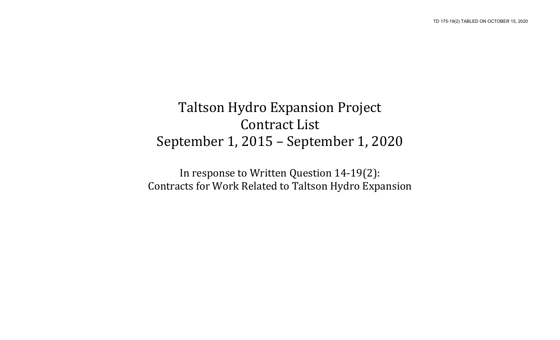## Taltson Hydro Expansion Project Contract List September 1, 2015 – September 1, 2020

In response to Written Question 14-19(2): Contracts for Work Related to Taltson Hydro Expansion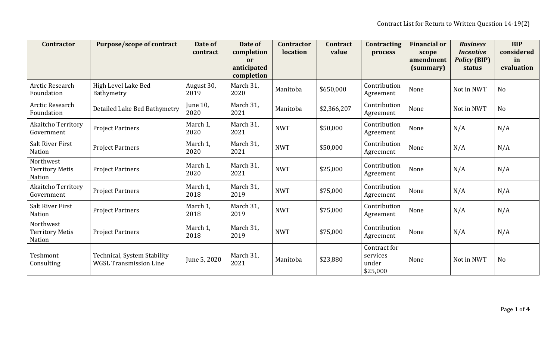| <b>Contractor</b>                             | <b>Purpose/scope of contract</b>                             | Date of<br>contract | Date of<br>completion<br>or<br>anticipated<br>completion | <b>Contractor</b><br>location | <b>Contract</b><br>value | <b>Contracting</b><br>process                 | <b>Financial or</b><br>scope<br>amendment<br>(summary) | <b>Business</b><br><i>Incentive</i><br><b>Policy (BIP)</b><br>status | <b>BIP</b><br>considered<br>in<br>evaluation |
|-----------------------------------------------|--------------------------------------------------------------|---------------------|----------------------------------------------------------|-------------------------------|--------------------------|-----------------------------------------------|--------------------------------------------------------|----------------------------------------------------------------------|----------------------------------------------|
| Arctic Research<br>Foundation                 | High Level Lake Bed<br>Bathymetry                            | August 30,<br>2019  | March 31,<br>2020                                        | Manitoba                      | \$650,000                | Contribution<br>Agreement                     | None                                                   | Not in NWT                                                           | No                                           |
| Arctic Research<br>Foundation                 | Detailed Lake Bed Bathymetry                                 | June 10,<br>2020    | March 31,<br>2021                                        | Manitoba                      | \$2,366,207              | Contribution<br>Agreement                     | None                                                   | Not in NWT                                                           | <b>No</b>                                    |
| <b>Akaitcho Territory</b><br>Government       | <b>Project Partners</b>                                      | March 1,<br>2020    | March 31,<br>2021                                        | <b>NWT</b>                    | \$50,000                 | Contribution<br>Agreement                     | None                                                   | N/A                                                                  | N/A                                          |
| <b>Salt River First</b><br>Nation             | <b>Project Partners</b>                                      | March 1,<br>2020    | March 31,<br>2021                                        | <b>NWT</b>                    | \$50,000                 | Contribution<br>Agreement                     | None                                                   | N/A                                                                  | N/A                                          |
| Northwest<br><b>Territory Metis</b><br>Nation | <b>Project Partners</b>                                      | March 1,<br>2020    | March 31,<br>2021                                        | <b>NWT</b>                    | \$25,000                 | Contribution<br>Agreement                     | None                                                   | N/A                                                                  | N/A                                          |
| <b>Akaitcho Territory</b><br>Government       | <b>Project Partners</b>                                      | March 1,<br>2018    | March 31,<br>2019                                        | <b>NWT</b>                    | \$75,000                 | Contribution<br>Agreement                     | None                                                   | N/A                                                                  | N/A                                          |
| <b>Salt River First</b><br>Nation             | <b>Project Partners</b>                                      | March 1,<br>2018    | March 31,<br>2019                                        | <b>NWT</b>                    | \$75,000                 | Contribution<br>Agreement                     | None                                                   | N/A                                                                  | N/A                                          |
| Northwest<br><b>Territory Metis</b><br>Nation | <b>Project Partners</b>                                      | March 1,<br>2018    | March 31,<br>2019                                        | <b>NWT</b>                    | \$75,000                 | Contribution<br>Agreement                     | None                                                   | N/A                                                                  | N/A                                          |
| Teshmont<br>Consulting                        | Technical, System Stability<br><b>WGSL Transmission Line</b> | June 5, 2020        | March 31,<br>2021                                        | Manitoba                      | \$23,880                 | Contract for<br>services<br>under<br>\$25,000 | None                                                   | Not in NWT                                                           | No                                           |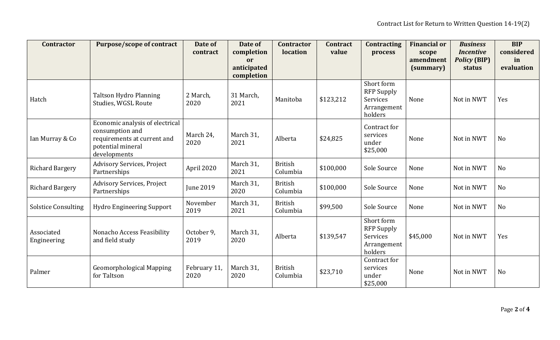| <b>Contractor</b>          | <b>Purpose/scope of contract</b>                                                                                       | Date of<br>contract  | Date of<br>completion<br>or | <b>Contractor</b><br>location | <b>Contract</b><br>value | <b>Contracting</b><br>process                                         | <b>Financial or</b><br>scope<br>amendment | <b>Business</b><br><b>Incentive</b><br><b>Policy (BIP)</b> | <b>BIP</b><br>considered<br>in |
|----------------------------|------------------------------------------------------------------------------------------------------------------------|----------------------|-----------------------------|-------------------------------|--------------------------|-----------------------------------------------------------------------|-------------------------------------------|------------------------------------------------------------|--------------------------------|
|                            |                                                                                                                        |                      | anticipated<br>completion   |                               |                          |                                                                       | (summary)                                 | status                                                     | evaluation                     |
| Hatch                      | <b>Taltson Hydro Planning</b><br>Studies, WGSL Route                                                                   | 2 March,<br>2020     | 31 March,<br>2021           | Manitoba                      | \$123,212                | Short form<br><b>RFP Supply</b><br>Services<br>Arrangement<br>holders | None                                      | Not in NWT                                                 | Yes                            |
| Ian Murray & Co            | Economic analysis of electrical<br>consumption and<br>requirements at current and<br>potential mineral<br>developments | March 24,<br>2020    | March 31,<br>2021           | Alberta                       | \$24,825                 | Contract for<br>services<br>under<br>\$25,000                         | None                                      | Not in NWT                                                 | N <sub>o</sub>                 |
| <b>Richard Bargery</b>     | Advisory Services, Project<br>Partnerships                                                                             | April 2020           | March 31,<br>2021           | <b>British</b><br>Columbia    | \$100,000                | Sole Source                                                           | None                                      | Not in NWT                                                 | N <sub>o</sub>                 |
| <b>Richard Bargery</b>     | Advisory Services, Project<br>Partnerships                                                                             | <b>June 2019</b>     | March 31,<br>2020           | <b>British</b><br>Columbia    | \$100,000                | Sole Source                                                           | None                                      | Not in NWT                                                 | N <sub>o</sub>                 |
| <b>Solstice Consulting</b> | <b>Hydro Engineering Support</b>                                                                                       | November<br>2019     | March 31,<br>2021           | <b>British</b><br>Columbia    | \$99,500                 | Sole Source                                                           | None                                      | Not in NWT                                                 | N <sub>o</sub>                 |
| Associated<br>Engineering  | Nonacho Access Feasibility<br>and field study                                                                          | October 9,<br>2019   | March 31,<br>2020           | Alberta                       | \$139,547                | Short form<br><b>RFP Supply</b><br>Services<br>Arrangement<br>holders | \$45,000                                  | Not in NWT                                                 | Yes                            |
| Palmer                     | <b>Geomorphological Mapping</b><br>for Taltson                                                                         | February 11,<br>2020 | March 31,<br>2020           | <b>British</b><br>Columbia    | \$23,710                 | Contract for<br>services<br>under<br>\$25,000                         | None                                      | Not in NWT                                                 | N <sub>o</sub>                 |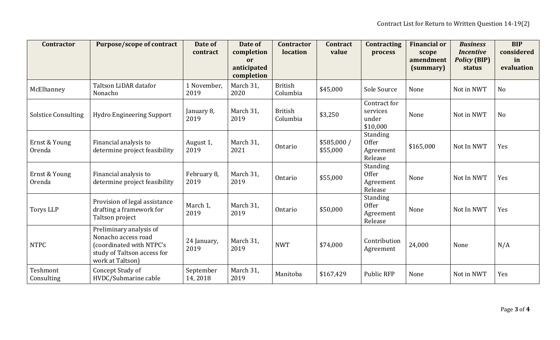| <b>Contractor</b>          | <b>Purpose/scope of contract</b>                                                                                              | Date of<br>contract  | Date of<br>completion<br>or<br>anticipated | <b>Contractor</b><br>location | <b>Contract</b><br>value | <b>Contracting</b><br>process                           | <b>Financial or</b><br>scope<br>amendment<br>(summary) | <b>Business</b><br><b>Incentive</b><br><b>Policy (BIP)</b><br>status | <b>BIP</b><br>considered<br>in<br>evaluation |
|----------------------------|-------------------------------------------------------------------------------------------------------------------------------|----------------------|--------------------------------------------|-------------------------------|--------------------------|---------------------------------------------------------|--------------------------------------------------------|----------------------------------------------------------------------|----------------------------------------------|
|                            |                                                                                                                               |                      | completion                                 |                               |                          |                                                         |                                                        |                                                                      |                                              |
| McElhanney                 | Taltson LiDAR datafor<br>Nonacho                                                                                              | 1 November,<br>2019  | March 31,<br>2020                          | <b>British</b><br>Columbia    | \$45,000                 | Sole Source                                             | None                                                   | Not in NWT                                                           | No                                           |
| <b>Solstice Consulting</b> | <b>Hydro Engineering Support</b>                                                                                              | January 8,<br>2019   | March 31,<br>2019                          | <b>British</b><br>Columbia    | \$3,250                  | Contract for<br>services<br>under<br>\$10,000           | None                                                   | Not in NWT                                                           | <b>No</b>                                    |
| Ernst & Young<br>Orenda    | Financial analysis to<br>determine project feasibility                                                                        | August 1,<br>2019    | March 31,<br>2021                          | Ontario                       | \$585,000 /<br>\$55,000  | Standing<br><b>Offer</b><br>Agreement<br>Release        | \$165,000                                              | Not In NWT                                                           | Yes                                          |
| Ernst & Young<br>Orenda    | Financial analysis to<br>determine project feasibility                                                                        | February 8,<br>2019  | March 31,<br>2019                          | Ontario                       | \$55,000                 | <b>Standing</b><br><b>Offer</b><br>Agreement<br>Release | None                                                   | Not In NWT                                                           | Yes                                          |
| <b>Torys LLP</b>           | Provision of legal assistance<br>drafting a framework for<br>Taltson project                                                  | March 1,<br>2019     | March 31,<br>2019                          | Ontario                       | \$50,000                 | Standing<br>Offer<br>Agreement<br>Release               | None                                                   | Not In NWT                                                           | Yes                                          |
| <b>NTPC</b>                | Preliminary analysis of<br>Nonacho access road<br>(coordinated with NTPC's<br>study of Taltson access for<br>work at Taltson) | 24 January,<br>2019  | March 31,<br>2019                          | <b>NWT</b>                    | \$74,000                 | Contribution<br>Agreement                               | 24,000                                                 | None                                                                 | N/A                                          |
| Teshmont<br>Consulting     | Concept Study of<br>HVDC/Submarine cable                                                                                      | September<br>14,2018 | March 31,<br>2019                          | Manitoba                      | \$167,429                | <b>Public RFP</b>                                       | None                                                   | Not in NWT                                                           | Yes                                          |